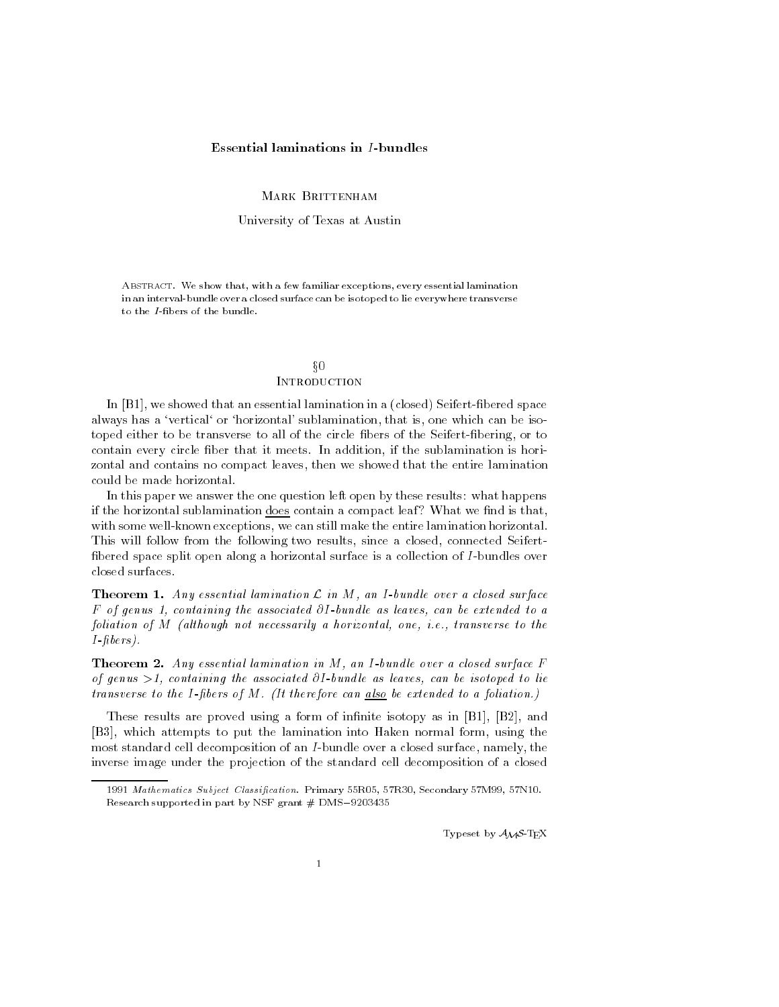# Essential laminations in I-bundles

MARK BRITTENHAM

University of Texas at Austin

Abstract. We show that, with a few familiar exceptions, every essential lamination in an interval-bundle over a closed surface can be isotoped to lie everywhere transverse to the *I*-fibers of the bundle.

# $\S0$ **INTRODUCTION**

In [B1], we showed that an essential lamination in a (closed) Seifert-fibered space always has a 'vertical' or 'horizontal' sublamination, that is, one which can be isotoped either to be transverse to all of the circle fibers of the Seifert-fibering, or to contain every circle ber that it meets. In addition, if the sublamination is horizontal and contains no compact leaves, then we showed that the entire lamination could be made horizontal.

In this paper we answer the one question left open by these results: what happens if the horizontal sublamination  $\frac{d}{d}$  does contain a compact leaf? What we find is that, with some well-known exceptions, we can still make the entire lamination horizontal. This will follow from the following two results, since a closed, connected Seifert bered space split open along a horizontal surface is a collection of I-bundles over closed surfaces.

**Theorem 1.** Any essential lamination  $\mathcal{L}$  in  $M$ , an I-bundle over a closed surface F of genus 1, containing the associated  $\partial I$ -bundle as leaves, can be extended to a foliation of M (although not necessarily a horizontal, one, i.e., transverse to the I-bers).

**Theorem 2.** Any essential lamination in  $M$ , an I-bundle over a closed surface  $F$ of genus  $>1$ , containing the associated  $\partial I$ -bundle as leaves, can be isotoped to lie transverse to the I-fibers of  $M$ . (It therefore can also be extended to a foliation.)

These results are proved using a form of infinite isotopy as in  $[B1], [B2],$  and [B3], which attempts to put the lamination into Haken normal form, using the most standard cell decomposition of an I-bundle over a closed surface, namely, the inverse image under the projection of the standard cell decomposition of a closed

Typeset by  $\mathcal{A}_{\mathcal{M}}\mathcal{S}$ -TEX

<sup>1991</sup> Mathematics Subject Classification. Primary 55R05, 57R30, Secondary 57M99, 57N10. Research supported in part by NSF grant  $#$  DMS-9203435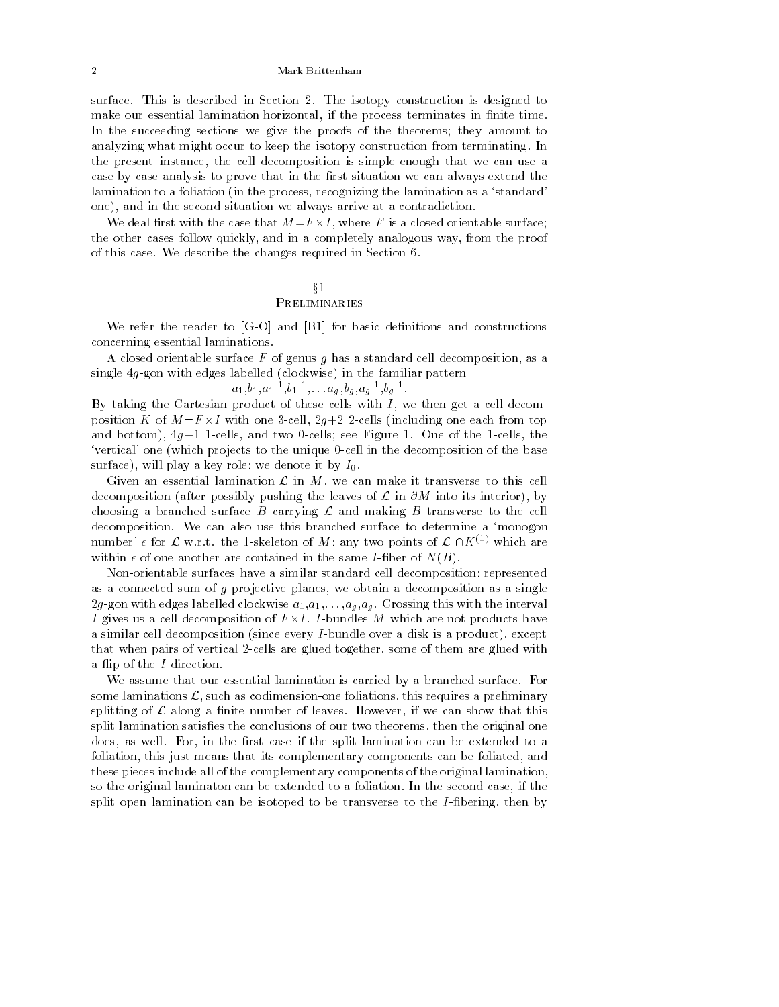surface. This is described in Section 2. The isotopy construction is designed to make our essential lamination horizontal, if the process terminates in finite time. In the succeeding sections we give the proofs of the theorems; they amount to analyzing what might occur to keep the isotopy construction from terminating. In the present instance, the cell decomposition is simple enough that we can use a case-by-case analysis to prove that in the first situation we can always extend the lamination to a foliation (in the process, recognizing the lamination as a 'standard' one), and in the second situation we always arrive at a contradiction.

... with the case of the case that M=F - is a closed or the method orientable surface; ... the other cases follow quickly, and in a completely analogous way, from the proof of this case. We describe the changes required in Section 6.

## $\S1$ Preliminaries

We refer the reader to  $[G-O]$  and  $[B1]$  for basic definitions and constructions concerning essential laminations.

A closed orientable surface  $F$  of genus g has a standard cell decomposition, as a single 4g-gon with edges labelled (clockwise) in the familiar pattern

$$
a_1, b_1, a_1^{-1}, b_1^{-1}, \ldots a_g, b_g, a_g^{-1}, b_g^{-1}
$$
.

By taking the Cartesian product of these cells with  $I$ , we then get a cell decom- $\mathbb{P}$  -different contact  $\mathbb{P}$  -different from the each from top  $\mathbb{P}$  -different from top  $\mathbb{P}$ and bottom),  $4g+1$  1-cells, and two 0-cells; see Figure 1. One of the 1-cells, the `vertical' one (which projects to the unique 0-cell in the decomposition of the base surface), will play a key role; we denote it by  $I_0$ .

Given an essential lamination  $\mathcal L$  in  $M$ , we can make it transverse to this cell decomposition (after possibly pushing the leaves of  $\mathcal L$  in  $\partial M$  into its interior), by choosing a branched surface B carrying  $\mathcal L$  and making B transverse to the cell decomposition. We can also use this branched surface to determine a `monogon number'  $\epsilon$  for  $\mathcal L$  w.r.t. the 1-skeleton of M; any two points of  $\mathcal L \cap K^{(1)}$  which are within  $\epsilon$  of one another are contained in the same *I*-fiber of  $N(B)$ .

Non-orientable surfaces have a similar standard cell decomposition; represented as a connected sum of g projective planes, we obtain a decomposition as a single 2g-gon with edges labelled clockwise  $a_1, a_1, \ldots, a_g, a_g$ . Crossing this with the interval I gives us a cell decomposition of F -I. I-bundles M which are not products have a similar cell decomposition (since every I-bundle over a disk is a product), except that when pairs of vertical 2-cells are glued together, some of them are glued with a flip of the *I*-direction.

We assume that our essential lamination is carried by a branched surface. For some laminations  $\mathcal{L}$ , such as codimension-one foliations, this requires a preliminary splitting of  $\mathcal L$  along a finite number of leaves. However, if we can show that this split lamination satisfies the conclusions of our two theorems, then the original one does, as well. For, in the first case if the split lamination can be extended to a foliation, this just means that its complementary components can be foliated, and these pieces include all of the complementary components of the original lamination, so the original laminaton can be extended to a foliation. In the second case, if the split open lamination can be isotoped to be transverse to the  $I$ -fibering, then by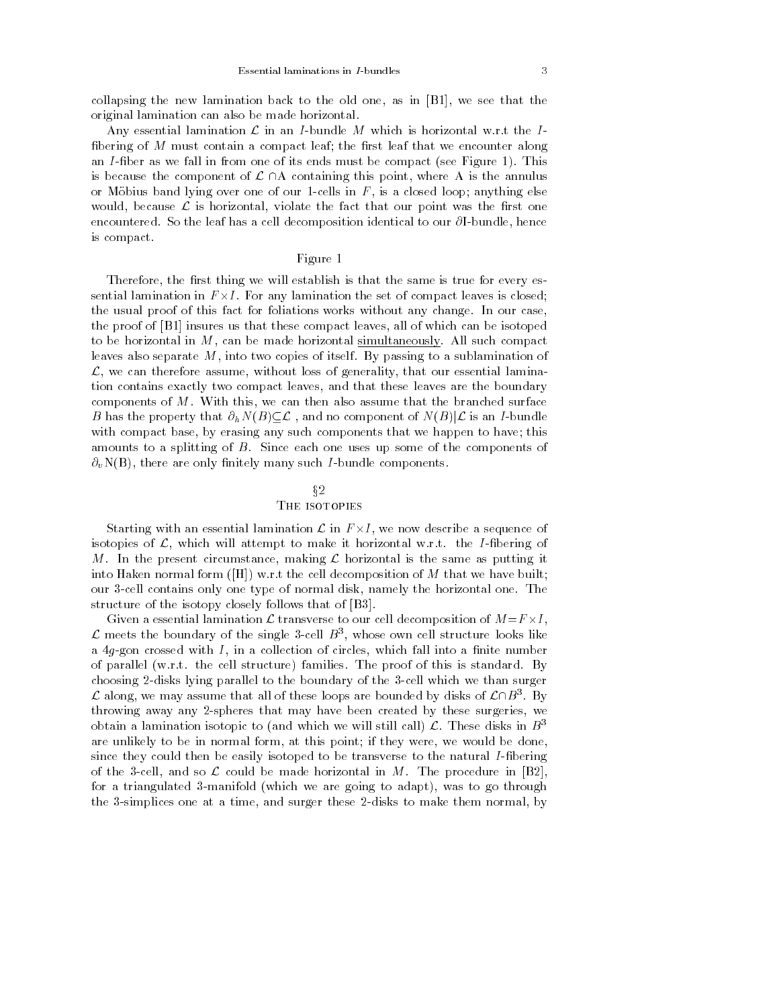collapsing the new lamination back to the old one, as in [B1], we see that the original lamination can also be made horizontal.

Any essential lamination  $\mathcal L$  in an *I*-bundle M which is horizontal w.r.t the *I*fibering of  $M$  must contain a compact leaf; the first leaf that we encounter along an *I*-fiber as we fall in from one of its ends must be compact (see Figure 1). This is because the component of  $\mathcal{L} \cap A$  containing this point, where A is the annulus or Möbius band lying over one of our 1-cells in  $F$ , is a closed loop; anything else would, because  $\mathcal L$  is horizontal, violate the fact that our point was the first one encountered. So the leaf has a cell decomposition identical to our  $\partial I$ -bundle, hence is compact.

## Figure 1

Therefore, the first thing we will establish is that the same is true for every essential interesting in F - I. For any lamination the set of compact leaves in the set of compact  $\mathbf{r}_1$ the usual proof of this fact for foliations works without any change. In our case, the proof of [B1] insures us that these compact leaves, all of which can be isotoped to be horizontal in  $M$ , can be made horizontal simultaneously. All such compact leaves also separate M, into two copies of itself. By passing to a sublamination of  $\mathcal{L}$ , we can therefore assume, without loss of generality, that our essential lamination contains exactly two compact leaves, and that these leaves are the boundary components of  $M$ . With this, we can then also assume that the branched surface B has the property that  $\partial_h N(B) \subseteq \mathcal{L}$ , and no component of  $N(B)|\mathcal{L}$  is an I-bundle with compact base, by erasing any such components that we happen to have; this amounts to a splitting of B. Since each one uses up some of the components of  $\partial_v N(B)$ , there are only finitely many such *I*-bundle components.

## $§2$ The isotopies

Starting with an essential lamination <sup>L</sup> in F -I, we now describe a sequence of isotopies of  $\mathcal{L}$ , which will attempt to make it horizontal w.r.t. the I-fibering of M. In the present circumstance, making  $\mathcal L$  horizontal is the same as putting it into Haken normal form ( $[H]$ ) w.r.t the cell decomposition of M that we have built; our 3-cell contains only one type of normal disk, namely the horizontal one. The structure of the isotopy closely follows that of [B3].

Given a essential lamination <sup>L</sup> transverse to our cell decomposition of M=F -I ,  ${\mathcal L}$  meets the boundary of the single 3-cell  $B^+$ , whose own cell structure looks like a  $4g$ -gon crossed with  $I$ , in a collection of circles, which fall into a finite number of parallel (w.r.t. the cell structure) families. The proof of this is standard. By choosing 2-disks lying parallel to the boundary of the 3-cell which we than surger  ${\cal L}$  along, we may assume that all of these loops are bounded by disks of  ${\cal L}\Box B^-.$  By throwing away any 2-spheres that may have been created by these surgeries, we obtain a lamination isotopic to (and which we will still call)  $\mathcal{L}$ . These disks in  $B^3$ are unlikely to be in normal form, at this point; if they were, we would be done, since they could then be easily isotoped to be transverse to the natural I-fibering of the 3-cell, and so  $\mathcal L$  could be made horizontal in M. The procedure in [B2], for a triangulated 3-manifold (which we are going to adapt), was to go through the 3-simplices one at a time, and surger these 2-disks to make them normal, by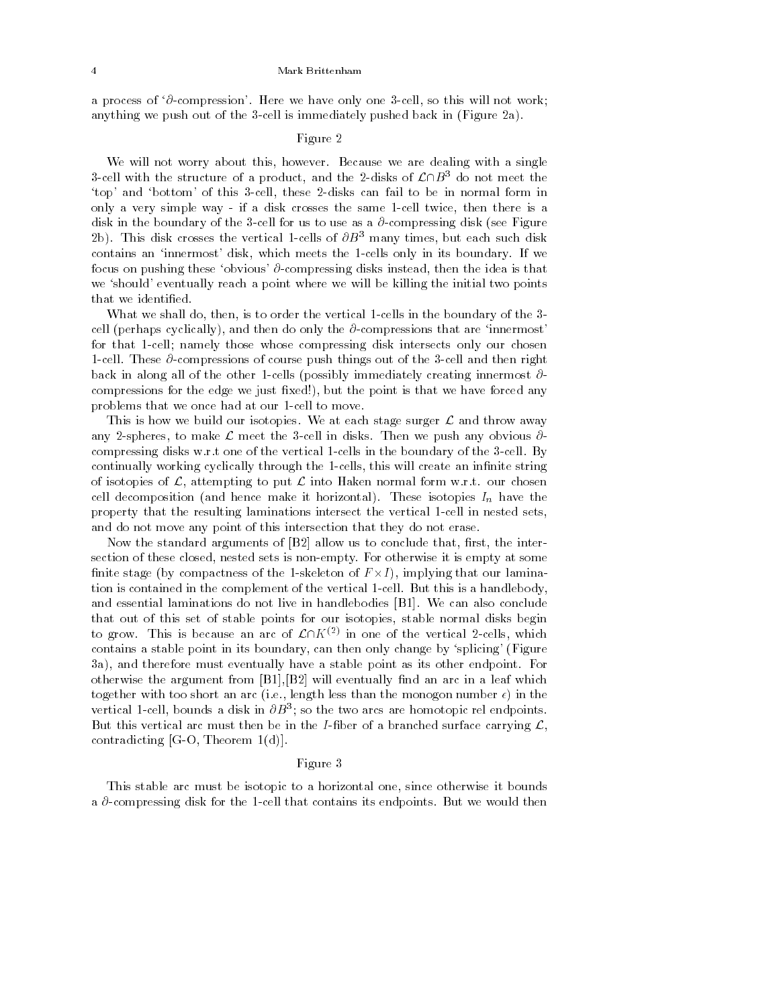a process of  $\partial$ -compression'. Here we have only one 3-cell, so this will not work; anything we push out of the 3-cell is immediately pushed back in (Figure 2a).

#### Figure 2

We will not worry about this, however. Because we are dealing with a single 3-cell with the structure of a product, and the 2-disks of  $\mathcal{L}\cap B^3$  do not meet the `top' and `bottom' of this 3-cell, these 2-disks can fail to be in normal form in only a very simple way - if a disk crosses the same 1-cell twice, then there is a disk in the boundary of the 3-cell for us to use as a  $\partial$ -compressing disk (see Figure 2b). This disk crosses the vertical 1-cells of  $\partial B^3$  many times, but each such disk contains an `innermost' disk, which meets the 1-cells only in its boundary. If we focus on pushing these 'obvious'  $\partial$ -compressing disks instead, then the idea is that we 'should' eventually reach a point where we will be killing the initial two points that we identified.

What we shall do, then, is to order the vertical 1-cells in the boundary of the 3 cell (perhaps cyclically), and then do only the  $\partial$ -compressions that are 'innermost' for that 1-cell; namely those whose compressing disk intersects only our chosen 1-cell. These  $\partial$ -compressions of course push things out of the 3-cell and then right back in along all of the other 1-cells (possibly immediately creating innermost  $\partial$ compressions for the edge we just fixed!), but the point is that we have forced any problems that we once had at our 1-cell to move.

This is how we build our isotopies. We at each stage surger  $\mathcal L$  and throw away any 2-spheres, to make  $\mathcal L$  meet the 3-cell in disks. Then we push any obvious  $\partial$ compressing disks w.r.t one of the vertical 1-cells in the boundary of the 3-cell. By continually working cyclically through the 1-cells, this will create an infinite string of isotopies of  $\mathcal{L}$ , attempting to put  $\mathcal{L}$  into Haken normal form w.r.t. our chosen cell decomposition (and hence make it horizontal). These isotopies In have the property that the resulting laminations intersect the vertical 1-cell in nested sets, and do not move any point of this intersection that they do not erase.

Now the standard arguments of  $[B2]$  allow us to conclude that, first, the intersection of these closed, nested sets is non-empty. For otherwise it is empty at some nite stage (by compactness of the 1-skeleton of F -I ), implying that our lamination is contained in the complement of the vertical 1-cell. But this is a handlebody, and essential laminations do not live in handlebodies [B1]. We can also conclude that out of this set of stable points for our isotopies, stable normal disks begin to grow. This is because an arc of  $\mathcal{L}\cap K^{(2)}$  in one of the vertical 2-cells, which contains a stable point in its boundary, can then only change by `splicing' (Figure 3a), and therefore must eventually have a stable point as its other endpoint. For otherwise the argument from  $[B1], [B2]$  will eventually find an arc in a leaf which together with too short an arc (i.e., length less than the monogon number  $\epsilon$ ) in the vertical 1-cell, bounds a disk in  $\sigma_{D}$ 3; so the two arcs are homotopic rel endpoints. But this vertical arc must then be in the I-fiber of a branched surface carrying  $\mathcal{L}$ , contradicting [G-O, Theorem 1(d)].

## Figure 3

This stable arc must be isotopic to a horizontal one, since otherwise it bounds a  $\partial$ -compressing disk for the 1-cell that contains its endpoints. But we would then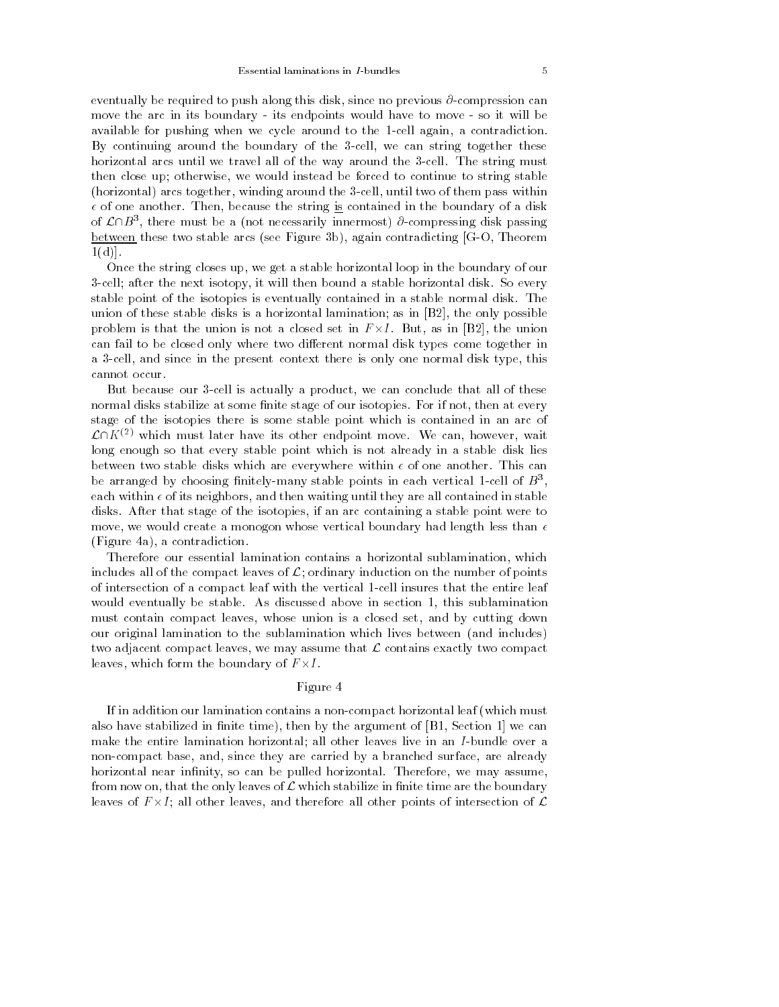eventually be required to push along this disk, since no previous  $\partial$ -compression can move the arc in its boundary - its endpoints would have to move - so it will be available for pushing when we cycle around to the 1-cell again, a contradiction. By continuing around the boundary of the 3-cell, we can string together these horizontal arcs until we travel all of the way around the 3-cell. The string must then close up; otherwise, we would instead be forced to continue to string stable (horizontal) arcs together, winding around the 3-cell, until two of them pass within  $\epsilon$  of one another. Then, because the string is contained in the boundary of a disk of  $\mathcal{L}\Box\mathcal{B}$  , there must be a (not necessarily innermost)  $\theta$ -compressing disk passing between these two stable arcs (see Figure 3b), again contradicting [G-O, Theorem  $1(d)$ ].

Once the string closes up, we get a stable horizontal loop in the boundary of our 3-cell; after the next isotopy, it will then bound a stable horizontal disk. So every stable point of the isotopies is eventually contained in a stable normal disk. The union of these stable disks is a horizontal lamination; as in [B2], the only possible problem is that the union is not a closed set in F -I. But, as in [B2], the union can fail to be closed only where two different normal disk types come together in a 3-cell, and since in the present context there is only one normal disk type, this cannot occur.

But because our 3-cell is actually a product, we can conclude that all of these normal disks stabilize at some finite stage of our isotopies. For if not, then at every stage of the isotopies there is some stable point which is contained in an arc of  $\mathcal{L}\cap K^{(2)}$  which must later have its other endpoint move. We can, however, wait long enough so that every stable point which is not already in a stable disk lies between two stable disks which are everywhere within  $\epsilon$  of one another. This can be arranged by choosing inhitely-many stable points in each vertical 1-cell of B3, each within  $\epsilon$  of its neighbors, and then waiting until they are all contained in stable disks. After that stage of the isotopies, if an arc containing a stable point were to move, we would create a monogon whose vertical boundary had length less than  $\epsilon$ (Figure 4a), a contradiction.

Therefore our essential lamination contains a horizontal sublamination, which includes all of the compact leaves of  $\mathcal{L}$ ; ordinary induction on the number of points of intersection of a compact leaf with the vertical 1-cell insures that the entire leaf would eventually be stable. As discussed above in section 1, this sublamination must contain compact leaves, whose union is a closed set, and by cutting down our original lamination to the sublamination which lives between (and includes) two adjacent compact leaves, we may assume that  $\mathcal L$  contains exactly two compact leaves, which form the boundary of F -I.

#### Figure 4

If in addition our lamination contains a non-compact horizontal leaf (which must also have stabilized in finite time), then by the argument of  $[B1, Section 1]$  we can make the entire lamination horizontal; all other leaves live in an I-bundle over a non-compact base, and, since they are carried by a branched surface, are already horizontal near infinity, so can be pulled horizontal. Therefore, we may assume, from now on, that the only leaves of  $\mathcal L$  which stabilize in finite time are the boundary leaves of F -I; all other leaves, and therefore all other points of intersection of <sup>L</sup>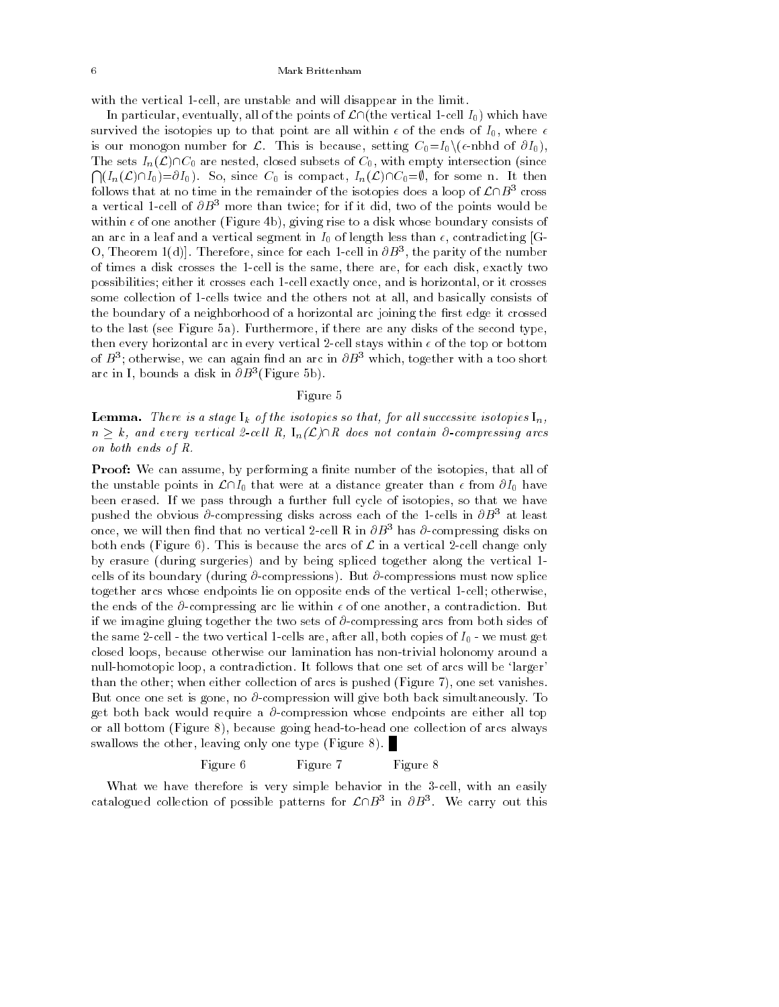with the vertical 1-cell, are unstable and will disappear in the limit.

In particular, eventually, all of the points of  $\mathcal{L}\cap$  (the vertical 1-cell I<sub>0</sub>) which have survived the isotopies up to that point are all within  $\epsilon$  of the ends of  $I_0$ , where  $\epsilon$ is our monogon number for  $\mathcal{L}$ . This is because, setting  $C_0 = I_0 \setminus (\epsilon \text{-nbhd of } \partial I_0)$ , The sets  $I_n(\mathcal{L})\cap C_0$  are nested, closed subsets of  $C_0$ , with empty intersection (since  $\bigcap (I_n(\mathcal{L})\cap I_0)=\partial I_0$ . So, since  $C_0$  is compact,  $I_n(\mathcal{L})\cap C_0=\emptyset$ , for some n. It then follows that at no time in the remainder of the isotopies does a loop of  $\mathcal{L}\cap B^3$  cross a vertical 1-cell of  $\partial B^3$  more than twice; for if it did, two of the points would be within  $\epsilon$  of one another (Figure 4b), giving rise to a disk whose boundary consists of an arc in a leaf and a vertical segment in  $I_0$  of length less than  $\epsilon$ , contradicting [G- $\cup$ , Ineorem  $\mathbb{I}(\mathbb{d})$ . Therefore, since for each 1-cell in  $\partial B$  , the parity of the number of times a disk crosses the 1-cell is the same, there are, for each disk, exactly two possibilities; either it crosses each 1-cell exactly once, and is horizontal, or it crosses some collection of 1-cells twice and the others not at all, and basically consists of the boundary of a neighborhood of a horizontal arc joining the first edge it crossed to the last (see Figure 5a). Furthermore, if there are any disks of the second type, then every horizontal arc in every vertical 2-cell stays within  $\epsilon$  of the top or bottom of  $B$ 3; otherwise, we can again find an arc in  $\sigma_{D}$ 3 which, together with a too short arc in 1, bounds a disk in *OB* "(Figure 5b).

#### Figure 5

Lemma . The isotopies so that, for all successive isotopies so that, for all successive isotopies in, for all successive isotopies in  $\mathcal{F}$  $n \geq k$ , and every vertical 2-cell R,  $I_n(\mathcal{L}) \cap R$  does not contain  $\partial$ -compressing arcs on both ends of R.

**Proof:** We can assume, by performing a finite number of the isotopies, that all of the unstable points in  $\mathcal{L}\cap I_0$  that were at a distance greater than  $\epsilon$  from  $\partial I_0$  have been erased. If we pass through a further full cycle of isotopies, so that we have pushed the obvious  $\partial$ -compressing disks across each of the 1-cells in  $\partial B^3$  at least once, we will then find that no vertical 2-cell R in  $\partial B^3$  has  $\partial$ -compressing disks on both ends (Figure 6). This is because the arcs of  $\mathcal L$  in a vertical 2-cell change only by erasure (during surgeries) and by being spliced together along the vertical 1 cells of its boundary (during  $\partial$ -compressions). But  $\partial$ -compressions must now splice together arcs whose endpoints lie on opposite ends of the vertical 1-cell; otherwise, the ends of the  $\partial$ -compressing arc lie within  $\epsilon$  of one another, a contradiction. But if we imagine gluing together the two sets of  $\partial$ -compressing arcs from both sides of the same 2-cell - the two vertical 1-cells are, after all, both copies of  $I_0$  - we must get closed loops, because otherwise our lamination has non-trivial holonomy around a null-homotopic loop, a contradiction. It follows that one set of arcs will be 'larger' than the other; when either collection of arcs is pushed (Figure 7), one set vanishes. But once one set is gone, no  $\partial$ -compression will give both back simultaneously. To get both back would require a  $\partial$ -compression whose endpoints are either all top or all bottom (Figure 8), because going head-to-head one collection of arcs always swallows the other, leaving only one type (Figure 8).

#### Figure 7 Figure 8 Figure 6

What we have therefore is very simple behavior in the 3-cell, with an easily catalogued collection of possible patterns for  $L\Box D^+$  in  $\partial D^+$ . We carry out this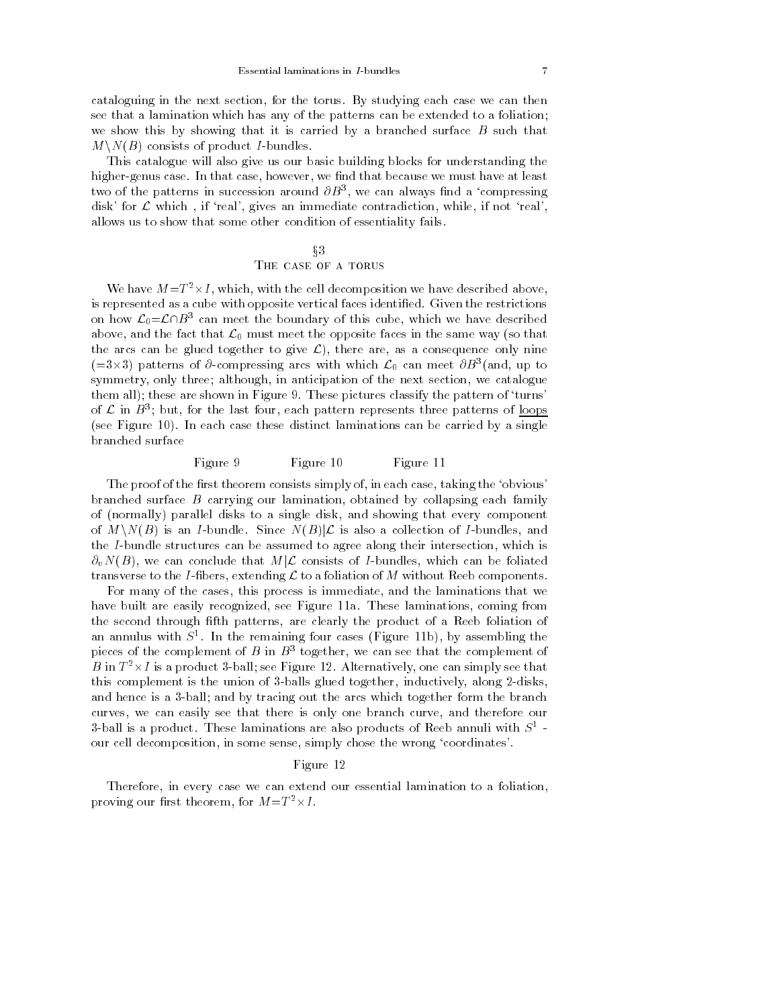cataloguing in the next section, for the torus. By studying each case we can then see that a lamination which has any of the patterns can be extended to a foliation; we show this by showing that it is carried by a branched surface  $B$  such that  $M\setminus N(B)$  consists of product *I*-bundles.

This catalogue will also give us our basic building blocks for understanding the higher-genus case. In that case, however, we find that because we must have at least two of the patterns in succession around  $\partial B^-,$  we can always find a compressing disk' for  $\mathcal L$  which, if 'real', gives an immediate contradiction, while, if not 'real', allows us to show that some other condition of essentiality fails.

# $\S 3$ THE CASE OF A TORUS

We have  $M=I^{\top} \times I$ , which, with the cell decomposition we have described above, is represented as a cube with opposite vertical faces identified. Given the restrictions on how  $\mathcal{L}_0 = \mathcal{L} \cap B^3$  can meet the boundary of this cube, which we have described above, and the fact that  $\mathcal{L}_0$  must meet the opposite faces in the same way (so that the arcs can be glued together to give  $\mathcal{L}$ ), there are, as a consequence only nine  $(=\delta \times \delta)$  patterns of  $\sigma$ -compressing arcs with which  $\mathcal{L}_0$  can meet  $\sigma D$  (and, up to symmetry, only three; although, in anticipation of the next section, we catalogue them all); these are shown in Figure 9. These pictures classify the pattern of 'turns' of  $L$  in  $B$  ; but, for the last four, each pattern represents three patterns of loops  $\blacksquare$ (see Figure 10). In each case these distinct laminations can be carried by a single branched surface

# Figure 9 Figure 10 Figure 11

The proof of the first theorem consists simply of, in each case, taking the 'obvious' branched surface B carrying our lamination, obtained by collapsing each family of (normally) parallel disks to a single disk, and showing that every component of  $M\setminus N(B)$  is an I-bundle. Since  $N(B)|\mathcal{L}$  is also a collection of I-bundles, and the I-bundle structures can be assumed to agree along their intersection, which is  $\partial_v N(B)$ , we can conclude that  $M|\mathcal{L}$  consists of I-bundles, which can be foliated transverse to the I-fibers, extending  $\mathcal L$  to a foliation of M without Reeb components.

For many of the cases, this process is immediate, and the laminations that we have built are easily recognized, see Figure 11a. These laminations, coming from the second through fth patterns, are clearly the product of a Reeb foliation of an annulus with S<sup>-</sup>. In the remaining four cases (Figure 11b), by assembling the pieces of the complement of  $B$  in  $B^+$  together, we can see that the complement of  $\hspace{0.1mm}$  $B$  in  $I$   $\overline{\;}$   $\times$   $I$  is a product 3-ball; see Figure 12. Alternatively, one can simply see that this complement is the union of 3-balls glued together, inductively, along 2-disks, and hence is a 3-ball; and by tracing out the arcs which together form the branch curves, we can easily see that there is only one branch curve, and therefore our 3-ball is a product. These laminations are also products of reep annuli with  $S^\circ$  our cell decomposition, in some sense, simply chose the wrong 'coordinates'.

#### Figure 12

Therefore, in every case we can extend our essential lamination to a foliation, proving our first theorem, for  $M = 1 - \times 1$ .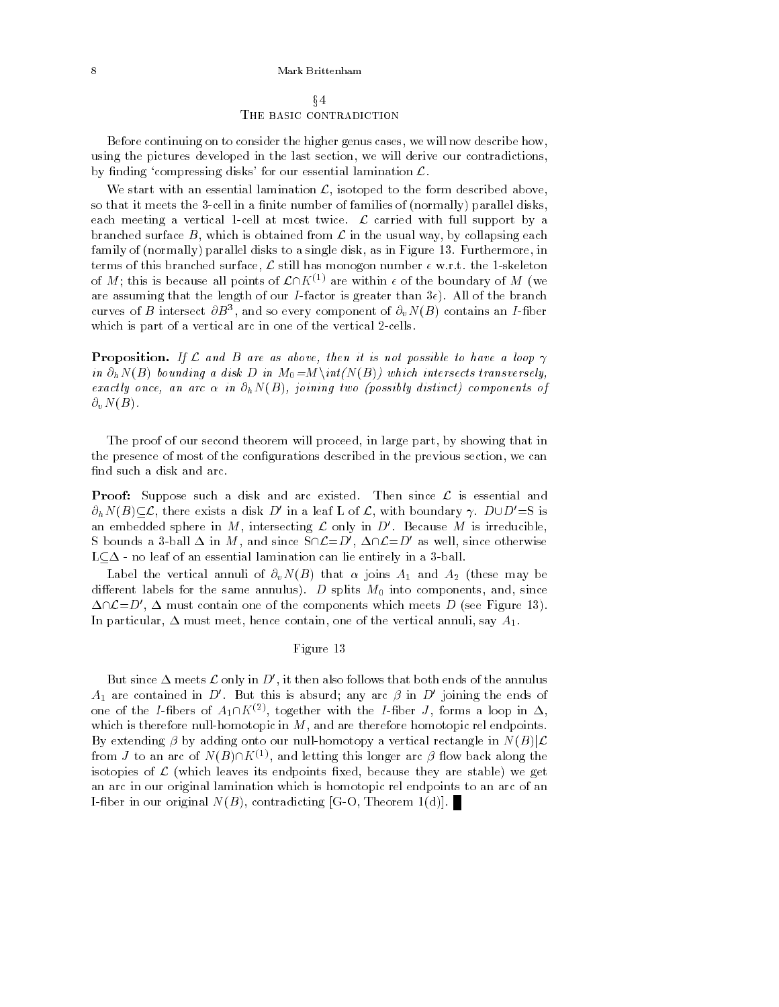x4 THE BASIC CONTRADICTION

Before continuing on to consider the higher genus cases, we will now describe how, using the pictures developed in the last section, we will derive our contradictions, by finding 'compressing disks' for our essential lamination  $\mathcal{L}$ .

We start with an essential lamination  $\mathcal{L}$ , isotoped to the form described above, so that it meets the 3-cell in a finite number of families of (normally) parallel disks, each meeting a vertical 1-cell at most twice.  $\mathcal{L}$  carried with full support by a branched surface B, which is obtained from  $\mathcal L$  in the usual way, by collapsing each family of (normally) parallel disks to a single disk, as in Figure 13. Furthermore, in terms of this branched surface,  $\mathcal L$  still has monogon number  $\epsilon$  w.r.t. the 1-skeleton of M; this is because all points of  $\mathcal{L}\cap K^{(1)}$  are within  $\epsilon$  of the boundary of M (we are assuming that the length of our I-factor is greater than  $3\epsilon$ ). All of the branch curves of  $B$  intersect  $\mathcal{O}B^{\pm}$ , and so every component of  $\mathcal{O}_vN$  ( $B$ ) contains an  $I$ -fiber which is part of a vertical arc in one of the vertical 2-cells.

**Proposition.** If L and B are as above, then it is not possible to have a loop  $\gamma$ in  $\partial_h N(B)$  bounding a disk D in  $M_0 = M \in N(M(B))$  which intersects transversely, exactly once, an arc  $\alpha$  in  $\partial_h N(B)$ , joining two (possibly distinct) components of  $\partial_v N(B)$ .

The proof of our second theorem will proceed, in large part, by showing that in the presence of most of the congurations described in the previous section, we can find such a disk and arc.

**Proof:** Suppose such a disk and arc existed. Then since  $\mathcal{L}$  is essential and  $\partial_h N(B) \subseteq \mathcal{L}$ , there exists a disk D' in a leaf L of  $\mathcal{L}$ , with boundary  $\gamma$ . DUD'=S is an embedded sphere in M, intersecting  $\mathcal L$  only in  $D'$ . Because M is irreducible, S bounds a 3-ball  $\Delta$  in M, and since  $S\cap \mathcal{L}=D'$ ,  $\Delta\cap \mathcal{L}=D'$  as well, since otherwise  $L \subseteq \Delta$  - no leaf of an essential lamination can lie entirely in a 3-ball.

Label the vertical annuli of  $\partial_v N(B)$  that  $\alpha$  joins  $A_1$  and  $A_2$  (these may be different labels for the same annulus). D splits  $M_0$  into components, and, since  $\Delta \cap \mathcal{L}=D'$ ,  $\Delta$  must contain one of the components which meets D (see Figure 13). In particular,  $\Delta$  must meet, hence contain, one of the vertical annuli, say  $A_1$ .

## Figure 13

But since  $\Delta$  meets  $\mathcal L$  only in D', it then also follows that both ends of the annulus  $A_1$  are contained in D'. But this is absurd; any arc  $\beta$  in D' joining the ends of one of the *I*-fibers of  $A_1 \cap K^{(2)}$ , together with the *I*-fiber *J*, forms a loop in  $\Delta$ , which is therefore null-homotopic in  $M$ , and are therefore homotopic rel endpoints. By extending  $\beta$  by adding onto our null-homotopy a vertical rectangle in  $N(B)|\mathcal{L}$ from *J* to an arc of  $N(B)\cap K^{(1)}$ , and letting this longer arc  $\beta$  flow back along the isotopies of  $\mathcal L$  (which leaves its endpoints fixed, because they are stable) we get an arc in our original lamination which is homotopic rel endpoints to an arc of an I-fiber in our original  $N(B)$ , contradicting [G-O, Theorem 1(d)].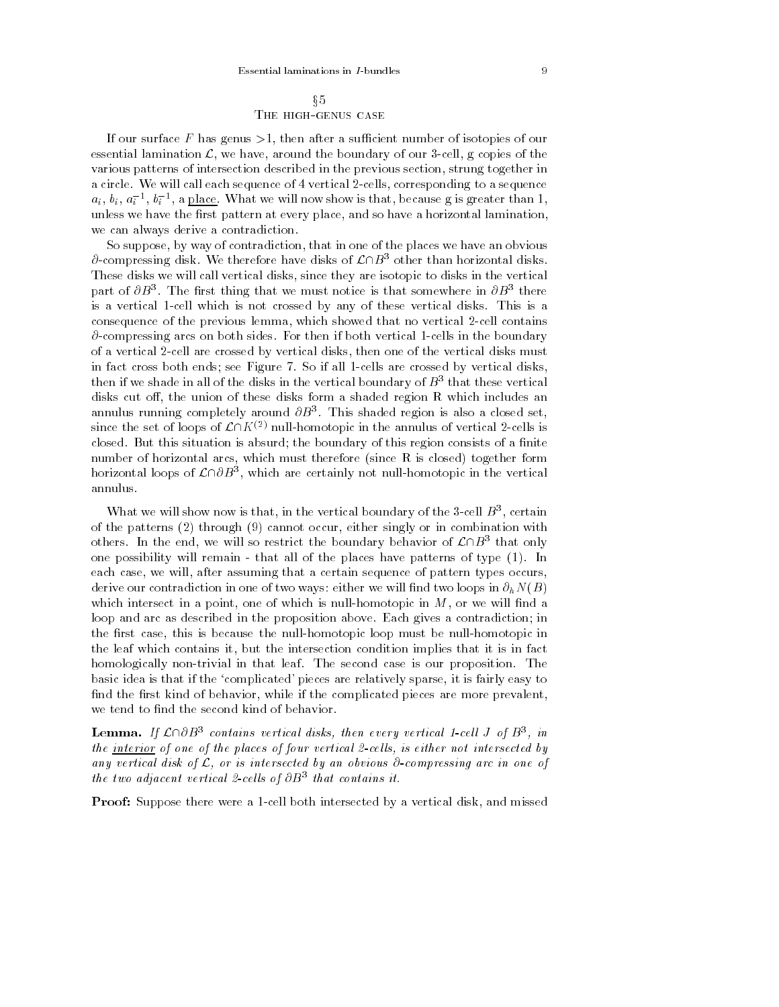If our surface  $F$  has genus  $>1$ , then after a sufficient number of isotopies of our essential lamination  $\mathcal{L}$ , we have, around the boundary of our 3-cell, g copies of the various patterns of intersection described in the previous section, strung together in a circle. We will call each sequence of 4 vertical 2-cells, corresponding to a sequence  $a_i, \, b_i, \, a_i$  ",  $a_i$ ", a place. What we will now show is that, because g is greater than 1, unless we have the first pattern at every place, and so have a horizontal lamination, we can always derive a contradiction.

So suppose, by way of contradiction, that in one of the places we have an obvious  $\partial$ -compressing disk. We therefore have disks of  $\mathcal{L}\cap B^3$  other than horizontal disks. These disks we will call vertical disks, since they are isotopic to disks in the vertical part of  $\sigma_{D}$  . The first thing that we must notice is that somewhere in  $\sigma_{D}$  there is a vertical 1-cell which is not crossed by any of these vertical disks. This is a consequence of the previous lemma, which showed that no vertical 2-cell contains  $\partial$ -compressing arcs on both sides. For then if both vertical 1-cells in the boundary of a vertical 2-cell are crossed by vertical disks, then one of the vertical disks must in fact cross both ends; see Figure 7. So if all 1-cells are crossed by vertical disks, then if we shade in all of the disks in the vertical boundary of  $B^+$  that these vertical  $\blacksquare$ disks cut off, the union of these disks form a shaded region R which includes an annulus running completely around  $OD^{\pm}$ . This shaded region is also a closed set, since the set of loops of  $\mathcal{L}\cap K^{(2)}$  null-homotopic in the annulus of vertical 2-cells is closed. But this situation is absurd; the boundary of this region consists of a finite number of horizontal arcs, which must therefore (since R is closed) together form horizontal loops of  $\mathcal L\sqcup\mathcal D$ 3, which are certainly not null-homotopic in the vertical annulus.

What we will show now is that, in the vertical boundary of the 3-cell  $B^{\pi}$ , certain of the patterns (2) through (9) cannot occur, either singly or in combination with others. In the end, we will so restrict the boundary behavior of  $L\Box B^-$  that only one possibility will remain - that all of the places have patterns of type (1). In each case, we will, after assuming that a certain sequence of pattern types occurs, derive our contradiction in one of two ways: either we will find two loops in  $\partial_h N(B)$ which intersect in a point, one of which is null-homotopic in  $M$ , or we will find a loop and arc as described in the proposition above. Each gives a contradiction; in the first case, this is because the null-homotopic loop must be null-homotopic in the leaf which contains it, but the intersection condition implies that it is in fact homologically non-trivial in that leaf. The second case is our proposition. The basic idea is that if the `complicated' pieces are relatively sparse, it is fairly easy to find the first kind of behavior, while if the complicated pieces are more prevalent, we tend to find the second kind of behavior.

**Lemma.** If  $L \cup \emptyset$  contains vertical aisks, then every vertical 1-cell J of  $B^-,$  in the interior of one of the places of four vertical 2-cells, is either not intersected by any vertical disk of  $\mathcal L$ , or is intersected by an obvious  $\partial$ -compressing arc in one of the two aajacent vertical z-cells of OB3 that contains it.

**Proof:** Suppose there were a 1-cell both intersected by a vertical disk, and missed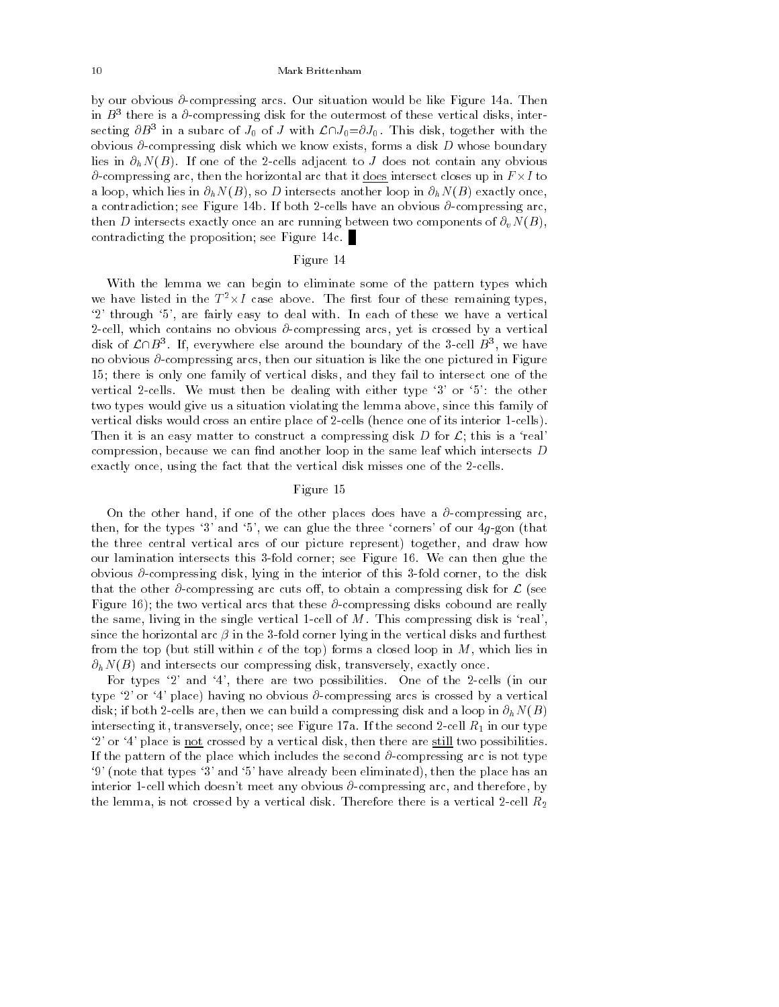by our obvious  $\partial$ -compressing arcs. Our situation would be like Figure 14a. Then in  $D^\perp$  there is a  $\sigma$ -compressing disk for the outermost of these vertical disks, intersecting  $\sigma D$ 3 in a subarc of  $J_0$  of J with  $\mathcal{L}(J_0=OJ_0)$ . This disk, together with the obvious  $\partial$ -compressing disk which we know exists, forms a disk  $D$  whose boundary lies in  $\partial_h N(B)$ . If one of the 2-cells adjacent to J does not contain any obvious @-compressing arc, then the horizontal arc that it does intersect closes up in F -I to a loop, which lies in  $\partial_h N(B)$ , so D intersects another loop in  $\partial_h N(B)$  exactly once, a contradiction; see Figure 14b. If both 2-cells have an obvious  $\partial$ -compressing arc, then D intersects exactly once an arc running between two components of  $\partial_v N(B)$ , contradicting the proposition; see Figure 14c.

## Figure 14

With the lemma we can begin to eliminate some of the pattern types which we have listed in the  $I^-\times I$  case above. The first four of these remaining types, '2' through '5', are fairly easy to deal with. In each of these we have a vertical 2-cell, which contains no obvious  $\partial$ -compressing arcs, yet is crossed by a vertical disk of  $L\Box B$  . If, everywhere else around the boundary of the 3-cell  $B$  , we have no obvious  $\partial$ -compressing arcs, then our situation is like the one pictured in Figure 15; there is only one family of vertical disks, and they fail to intersect one of the vertical 2-cells. We must then be dealing with either type `3' or `5': the other two types would give us a situation violating the lemma above, since this family of vertical disks would cross an entire place of 2-cells (hence one of its interior 1-cells). Then it is an easy matter to construct a compressing disk D for  $\mathcal{L}$ ; this is a 'real' compression, because we can find another loop in the same leaf which intersects  $D$ exactly once, using the fact that the vertical disk misses one of the 2-cells.

## Figure 15

On the other hand, if one of the other places does have a  $\partial$ -compressing arc, then, for the types '3' and '5', we can glue the three 'corners' of our  $4g$ -gon (that the three central vertical arcs of our picture represent) together, and draw how our lamination intersects this 3-fold corner; see Figure 16. We can then glue the obvious  $\partial$ -compressing disk, lying in the interior of this 3-fold corner, to the disk that the other  $\partial$ -compressing arc cuts off, to obtain a compressing disk for  $\mathcal L$  (see Figure 16); the two vertical arcs that these  $\partial$ -compressing disks cobound are really the same, living in the single vertical 1-cell of  $M$ . This compressing disk is 'real', since the horizontal arc  $\beta$  in the 3-fold corner lying in the vertical disks and furthest from the top (but still within  $\epsilon$  of the top) forms a closed loop in M, which lies in  $\partial_h N(B)$  and intersects our compressing disk, transversely, exactly once.

For types `2' and `4', there are two possibilities. One of the 2-cells (in our type '2' or '4' place) having no obvious  $\partial$ -compressing arcs is crossed by a vertical disk; if both 2-cells are, then we can build a compressing disk and a loop in  $\partial_h N(B)$ intersecting it, transversely, once; see Figure 17a. If the second 2-cell  $R_1$  in our type `2' or `4' place is not crossed byavertical disk, then there are still two possibilities. If the pattern of the place which includes the second  $\partial$ -compressing arc is not type `9' (note that types `3' and `5' have already been eliminated), then the place has an interior 1-cell which doesn't meet any obvious  $\partial$ -compressing arc, and therefore, by the lemma, is not crossed by a vertical disk. Therefore there is a vertical 2-cell  $R_2$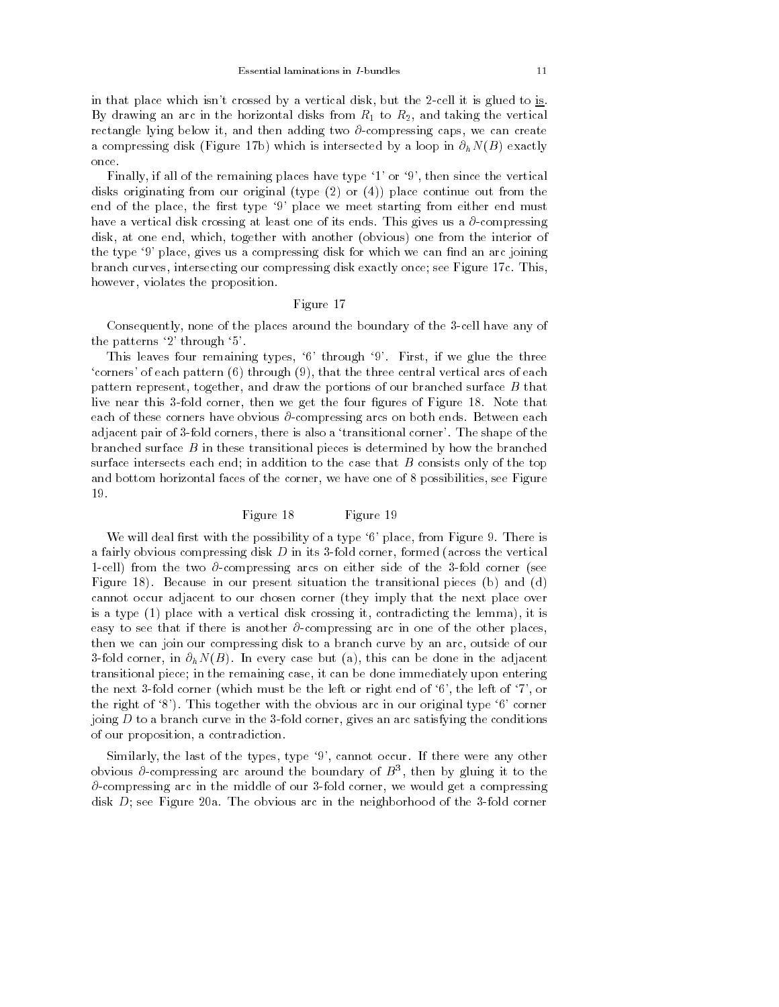in that place which isn't crossed by a vertical disk, but the 2-cell it is glued to is. By drawing an arc in the horizontal disks from  $R_1$  to  $R_2$ , and taking the vertical rectangle lying below it, and then adding two  $\partial$ -compressing caps, we can create a compressing disk (Figure 17b) which is intersected by a loop in  $\partial_h N(B)$  exactly once.

Finally, if all of the remaining places have type '1' or '9', then since the vertical disks originating from our original (type  $(2)$  or  $(4)$ ) place continue out from the end of the place, the first type '9' place we meet starting from either end must have a vertical disk crossing at least one of its ends. This gives us a  $\partial$ -compressing disk, at one end, which, together with another (obvious) one from the interior of the type '9' place, gives us a compressing disk for which we can find an arc joining branch curves, intersecting our compressing disk exactly once; see Figure 17c. This, however, violates the proposition.

## Figure 17

Consequently, none of the places around the boundary of the 3-cell have any of the patterns `2' through `5'.

This leaves four remaining types, '6' through '9'. First, if we glue the three  $\epsilon$  corners' of each pattern  $(6)$  through  $(9)$ , that the three central vertical arcs of each pattern represent, together, and draw the portions of our branched surface B that live near this 3-fold corner, then we get the four figures of Figure 18. Note that each of these corners have obvious  $\partial$ -compressing arcs on both ends. Between each adjacent pair of 3-fold corners, there is also a `transitional corner'. The shape of the branched surface  $B$  in these transitional pieces is determined by how the branched surface intersects each end; in addition to the case that  $B$  consists only of the top and bottom horizontal faces of the corner, we have one of 8 possibilities, see Figure 19.

## Figure 18 Figure 19

We will deal first with the possibility of a type  $6'$  place, from Figure 9. There is a fairly obvious compressing disk  $D$  in its 3-fold corner, formed (across the vertical 1-cell) from the two  $\partial$ -compressing arcs on either side of the 3-fold corner (see Figure 18). Because in our present situation the transitional pieces (b) and (d) cannot occur adjacent to our chosen corner (they imply that the next place over is a type (1) place with a vertical disk crossing it, contradicting the lemma), it is easy to see that if there is another  $\partial$ -compressing arc in one of the other places, then we can join our compressing disk to a branch curve by an arc, outside of our 3-fold corner, in  $\partial_h N(B)$ . In every case but (a), this can be done in the adjacent transitional piece; in the remaining case, it can be done immediately upon entering the next 3-fold corner (which must be the left or right end of  $6'$ , the left of  $7'$ , or the right of  $\mathcal{S}'$ ). This together with the obvious arc in our original type  $\mathcal{S}'$  corner joing  $D$  to a branch curve in the 3-fold corner, gives an arc satisfying the conditions of our proposition, a contradiction.

Similarly, the last of the types, type `9', cannot occur. If there were any other obvious  $\sigma$ -compressing arc around the boundary of  $B^+$ , then by gluing it to the  $\partial$ -compressing arc in the middle of our 3-fold corner, we would get a compressing disk  $D$ ; see Figure 20a. The obvious arc in the neighborhood of the 3-fold corner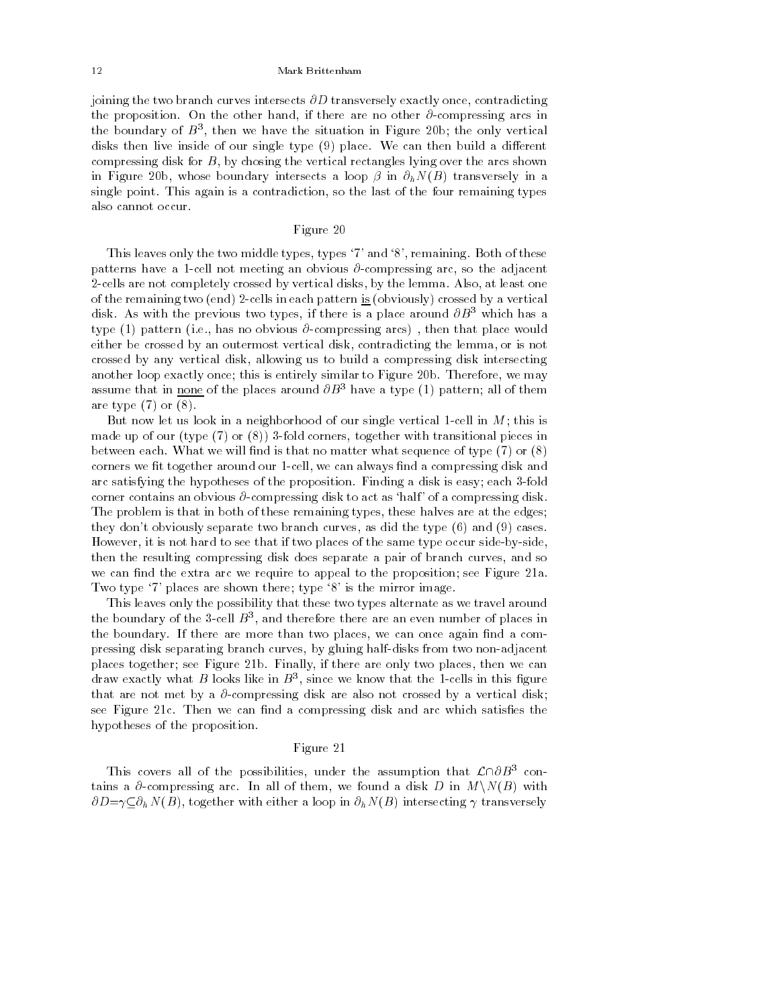joining the two branch curves intersects  $\partial D$  transversely exactly once, contradicting the proposition. On the other hand, if there are no other  $\partial$ -compressing arcs in the boundary of  $D^{\pi}$ , then we have the situation in Figure 20b; the only vertical disks then live inside of our single type  $(9)$  place. We can then build a different compressing disk for  $B$ , by chosing the vertical rectangles lying over the arcs shown in Figure 20b, whose boundary intersects a loop  $\beta$  in  $\partial_h N(B)$  transversely in a single point. This again is a contradiction, so the last of the four remaining types also cannot occur.

## Figure 20

This leaves only the two middle types, types '7' and '8', remaining. Both of these patterns have a 1-cell not meeting an obvious  $\partial$ -compressing arc, so the adjacent 2-cells are not completely crossed by vertical disks, by the lemma. Also, at least one of the remaining two (end) 2-cells in each pattern is (obviously) crossed by a vertical disk. As with the previous two types, if there is a place around  $\partial B^3$  which has a type (1) pattern (i.e., has no obvious  $\partial$ -compressing arcs), then that place would either be crossed by an outermost vertical disk, contradicting the lemma, or is not crossed by any vertical disk, allowing us to build a compressing disk intersecting another loop exactly once; this is entirely similar to Figure 20b. Therefore, we may assume that in <u>none</u> of the places around  $\partial B^3$  have a type (1) pattern; all of them are type  $(7)$  or  $(8)$ .

But now let us look in a neighborhood of our single vertical 1-cell in  $M$ ; this is made up of our (type  $(7)$  or  $(8)$ ) 3-fold corners, together with transitional pieces in between each. What we will find is that no matter what sequence of type  $(7)$  or  $(8)$ corners we fit together around our 1-cell, we can always find a compressing disk and arc satisfying the hypotheses of the proposition. Finding a disk is easy; each 3-fold corner contains an obvious  $\partial$ -compressing disk to act as 'half' of a compressing disk. The problem is that in both of these remaining types, these halves are at the edges; they don't obviously separate two branch curves, as did the type (6) and (9) cases. However, it is not hard to see that if two places of the same type occur side-by-side, then the resulting compressing disk does separate a pair of branch curves, and so we can find the extra arc we require to appeal to the proposition; see Figure 21a. Two type '7' places are shown there; type '8' is the mirror image.

This leaves only the possibility that these two types alternate as we travel around the boundary of the 3-cell  $B^{\pm}$ , and therefore there are an even number of places in  $\pm$ the boundary. If there are more than two places, we can once again find a compressing disk separating branch curves, by gluing half-disks from two non-adjacent places together; see Figure 21b. Finally, if there are only two places, then we can draw exactly what *D* looks like in *D*<sup>3</sup>, since we know that the 1-cells in this ligure that are not met by a  $\partial$ -compressing disk are also not crossed by a vertical disk; see Figure 21c. Then we can find a compressing disk and arc which satisfies the hypotheses of the proposition.

#### Figure 21

This covers all of the possibilities, under the assumption that  $\mathcal{L}\cap\partial B^3$  contains a  $\partial$ -compressing arc. In all of them, we found a disk D in  $M\setminus N(B)$  with  $\partial D = \gamma \subseteq \partial_h N(B)$ , together with either a loop in  $\partial_h N(B)$  intersecting  $\gamma$  transversely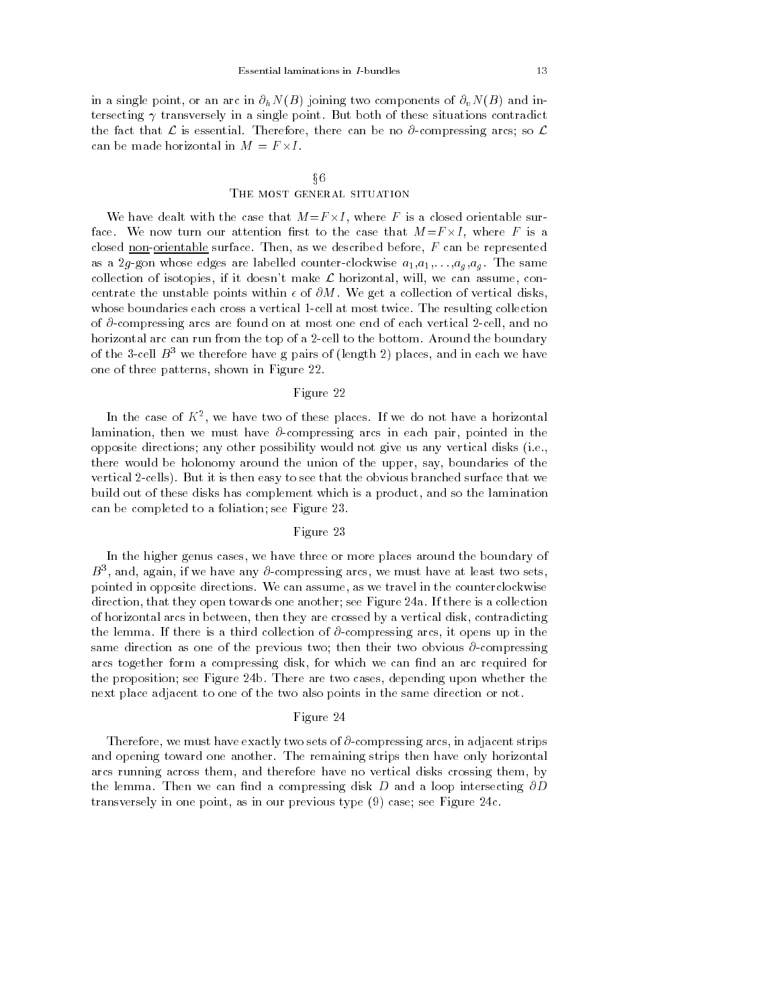in a single point, or an arc in  $\partial_h N(B)$  joining two components of  $\partial_v N(B)$  and intersecting  $\gamma$  transversely in a single point. But both of these situations contradict the fact that  $\mathcal L$  is essential. Therefore, there can be no  $\partial$ -compressing arcs; so  $\mathcal L$ 

# x6 THE MOST GENERAL SITUATION

We have dealt with the case that M=F -I, where F is a closed orientable surface. We now turn our attention rst to the case that M=F -I , where F is a closed non-orientable surface. Then, as we described before,  $F$  can be represented as a 2g-gon whose edges are labelled counter-clockwise  $a_1, a_1, \ldots, a_g, a_g$ . The same collection of isotopies, if it doesn't make  $\mathcal L$  horizontal, will, we can assume, concentrate the unstable points within  $\epsilon$  of  $\partial M$ . We get a collection of vertical disks, whose boundaries each cross a vertical 1-cell at most twice. The resulting collection of  $\partial$ -compressing arcs are found on at most one end of each vertical 2-cell, and no horizontal arc can run from the top of a 2-cell to the bottom. Around the boundary of the 3-cell  $B^3$  we therefore have g pairs of (length 2) places, and in each we have one of three patterns, shown in Figure 22.

## Figure 22

In the case of  $K^-,$  we have two of these places. If we do not have a horizontal  $\hspace{0.1mm}$ lamination, then we must have  $\partial$ -compressing arcs in each pair, pointed in the opposite directions; any other possibility would not give us any vertical disks (i.e., there would be holonomy around the union of the upper, say, boundaries of the vertical 2-cells). But it is then easy to see that the obvious branched surface that we build out of these disks has complement which is a product, and so the lamination can be completed to a foliation; see Figure 23.

### Figure 23

In the higher genus cases, we have three or more places around the boundary of  $D^{\pm},$  and, again, if we have any  $\sigma$ -compressing arcs, we must have at least two sets,  $\pm$ pointed in opposite directions. We can assume, as we travel in the counterclockwise direction, that they open towards one another; see Figure 24a. If there is a collection of horizontal arcs in between, then they are crossed byavertical disk, contradicting the lemma. If there is a third collection of  $\partial$ -compressing arcs, it opens up in the same direction as one of the previous two; then their two obvious  $\partial$ -compressing arcs together form a compressing disk, for which we can find an arc required for the proposition; see Figure 24b. There are two cases, depending upon whether the next place adjacent to one of the two also points in the same direction or not.

#### Figure 24

Therefore, we must have exactly two sets of  $\partial$ -compressing arcs, in adjacent strips and opening toward one another. The remaining strips then have only horizontal arcs running across them, and therefore have no vertical disks crossing them, by the lemma. Then we can find a compressing disk D and a loop intersecting  $\partial D$ transversely in one point, as in our previous type (9) case; see Figure 24c.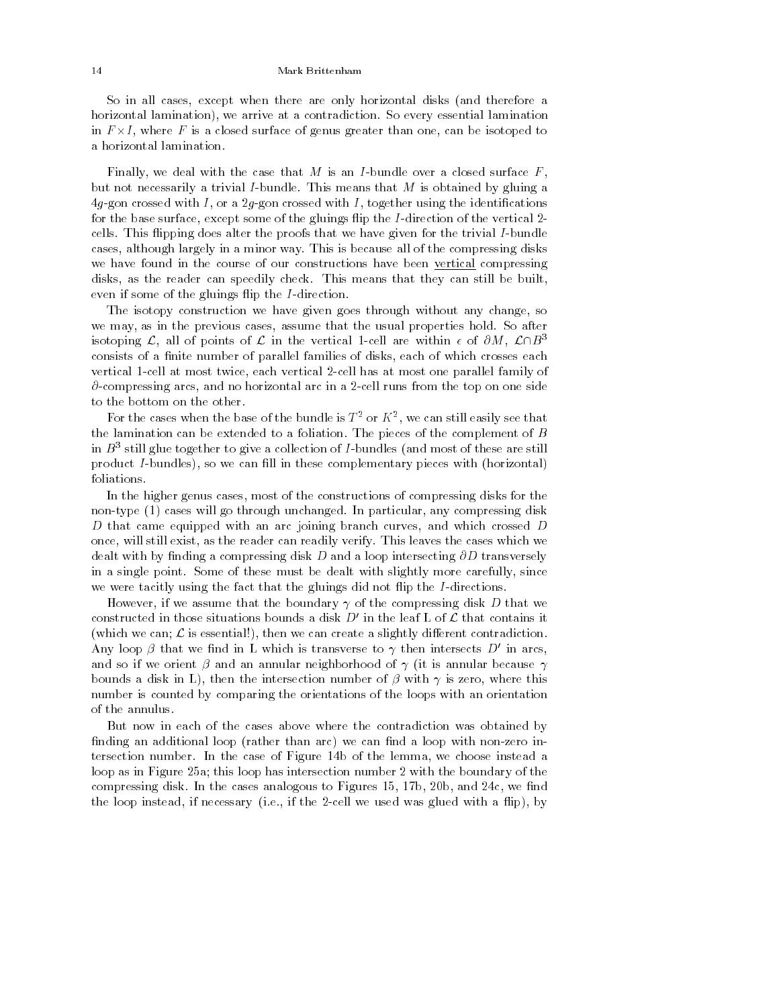So in all cases, except when there are only horizontal disks (and therefore a horizontal lamination), we arrive at a contradiction. So every essential lamination in F -I, where F is a closed surface of genus greater than one, can be isotoped to a horizontal lamination.

Finally, we deal with the case that M is an I-bundle over a closed surface  $F$ , but not necessarily a trivial I-bundle. This means that M is obtained by gluing a  $4g$ -gon crossed with  $I$ , or a 2g-gon crossed with  $I$ , together using the identifications for the base surface, except some of the gluings flip the I-direction of the vertical  $2$ cells. This flipping does alter the proofs that we have given for the trivial I-bundle cases, although largely in a minor way. This is because all of the compressing disks we have found in the course of our constructions have been vertical compressing disks, as the reader can speedily check. This means that they can still be built, even if some of the gluings flip the  $I$ -direction.

The isotopy construction we have given goes through without any change, so we may, as in the previous cases, assume that the usual properties hold. So after isotoping  $\mathcal{L}$ , all of points of  $\mathcal{L}$  in the vertical 1-cell are within  $\epsilon$  of  $\partial M$ ,  $\mathcal{L}\cap B^3$ consists of a finite number of parallel families of disks, each of which crosses each vertical 1-cell at most twice, each vertical 2-cell has at most one parallel family of  $\partial$ -compressing arcs, and no horizontal arc in a 2-cell runs from the top on one side to the bottom on the other.

For the cases when the base of the bundle is  $T^+$  or  $K^-,$  we can still easily see that  $\top$ the lamination can be extended to a foliation. The pieces of the complement of  $B$ in  $D$   $^{\circ}$  still glue together to give a collection of I-bundles (and most of these are still  $^$ product *I*-bundles), so we can fill in these complementary pieces with (horizontal) foliations.

In the higher genus cases, most of the constructions of compressing disks for the non-type (1) cases will go through unchanged. In particular, any compressing disk D that came equipped with an arc joining branch curves, and which crossed D once, will still exist, as the reader can readily verify. This leaves the cases which we dealt with by finding a compressing disk D and a loop intersecting  $\partial D$  transversely in a single point. Some of these must be dealt with slightly more carefully, since we were tacitly using the fact that the gluings did not flip the I-directions.

However, if we assume that the boundary  $\gamma$  of the compressing disk D that we constructed in those situations bounds a disk  $D'$  in the leaf L of  $\mathcal L$  that contains it (which we can;  $\mathcal L$  is essential!), then we can create a slightly different contradiction. Any loop  $\beta$  that we find in L which is transverse to  $\gamma$  then intersects D' in arcs, and so if we orient  $\beta$  and an annular neighborhood of  $\gamma$  (it is annular because  $\gamma$ bounds a disk in L), then the intersection number of  $\beta$  with  $\gamma$  is zero, where this number is counted by comparing the orientations of the loops with an orientation of the annulus.

But now in each of the cases above where the contradiction was obtained by finding an additional loop (rather than arc) we can find a loop with non-zero intersection number. In the case of Figure 14b of the lemma, we choose instead a loop as in Figure 25a; this loop has intersection number 2 with the boundary of the compressing disk. In the cases analogous to Figures 15, 17b, 20b, and 24c, we find the loop instead, if necessary (i.e., if the 2-cell we used was glued with a flip), by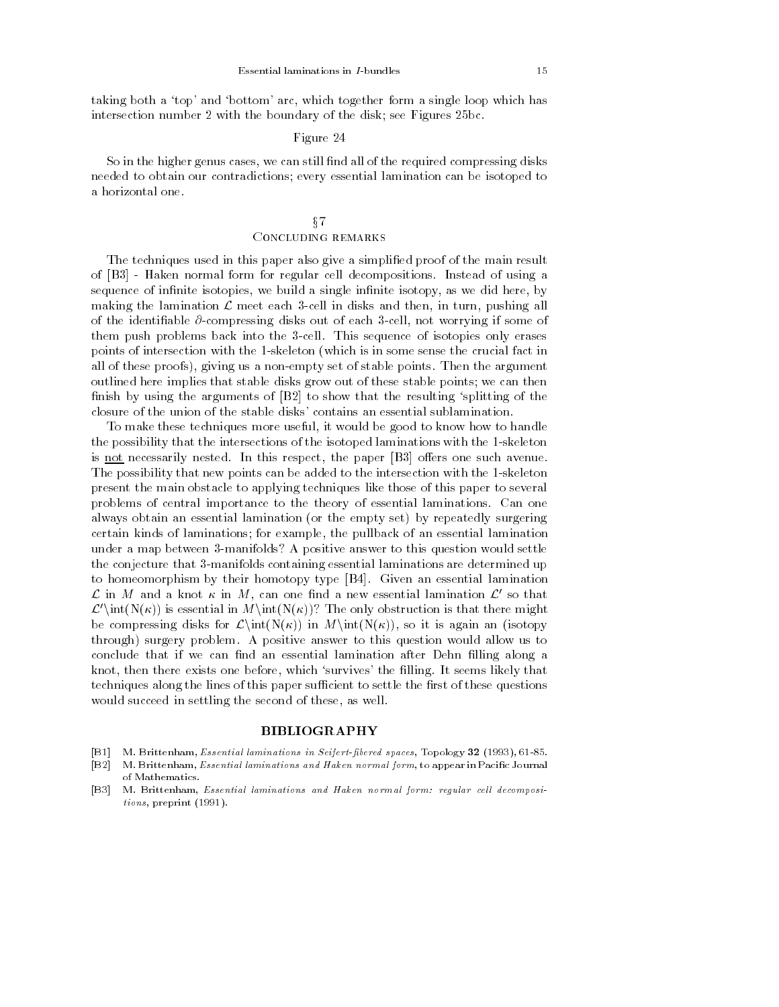taking both a 'top' and 'bottom' arc, which together form a single loop which has intersection number 2 with the boundary of the disk; see Figures 25bc.

## Figure 24

So in the higher genus cases, we can still find all of the required compressing disks needed to obtain our contradictions; every essential lamination can be isotoped to

# $§7$ Concluding remarks

The techniques used in this paper also give a simplified proof of the main result of [B3] - Haken normal form for regular cell decompositions. Instead of using a sequence of infinite isotopies, we build a single infinite isotopy, as we did here, by making the lamination  $\mathcal L$  meet each 3-cell in disks and then, in turn, pushing all of the identifiable  $\partial$ -compressing disks out of each 3-cell, not worrying if some of them push problems back into the 3-cell. This sequence of isotopies only erases points of intersection with the 1-skeleton (which is in some sense the crucial fact in all of these proofs), giving us a non-empty set of stable points. Then the argument outlined here implies that stable disks grow out of these stable points; we can then finish by using the arguments of  $[**B2**]$  to show that the resulting 'splitting of the closure of the union of the stable disks' contains an essential sublamination.

To make these techniques more useful, it would be good to know how to handle the possibility that the intersections of the isotoped laminations with the 1-skeleton is not necessarily nested. In this respect, the paper  $[**B3**]$  offers one such avenue. The possibility that new points can be added to the intersection with the 1-skeleton present the main obstacle to applying techniques like those of this paper to several problems of central importance to the theory of essential laminations. Can one always obtain an essential lamination (or the empty set) by repeatedly surgering certain kinds of laminations; for example, the pullback of an essential lamination under a map between 3-manifolds? A positive answer to this question would settle the conjecture that 3-manifolds containing essential laminations are determined up to homeomorphism by their homotopy type [B4]. Given an essential lamination  $\mathcal L$  in M and a knot  $\kappa$  in M, can one find a new essential lamination  $\mathcal L'$  so that  $\mathcal{L}'\text{int}(N(\kappa))$  is essential in  $M\text{int}(N(\kappa))$ ? The only obstruction is that there might be compressing disks for  $\mathcal{L}\int(N(\kappa))$  in  $M\int(N(\kappa))$ , so it is again an (isotopy through) surgery problem. A positive answer to this question would allow us to conclude that if we can find an essential lamination after Dehn filling along a knot, then there exists one before, which 'survives' the filling. It seems likely that techniques along the lines of this paper sufficient to settle the first of these questions would succeed in settling the second of these, as well.

#### BIBLIOGRAPHY

- [B1] M. Brittenham, *Essential laminations in Seifert-fibered spaces*, Topology 32 (1993), 61-85.
- [B2] M. Brittenham, Essential laminations and Haken normal form, to appear in Pacic Journal of Mathematics.
- [B3] M. Brittenham, Essential laminations and Haken normal form: regular cell decompositions, preprint (1991).